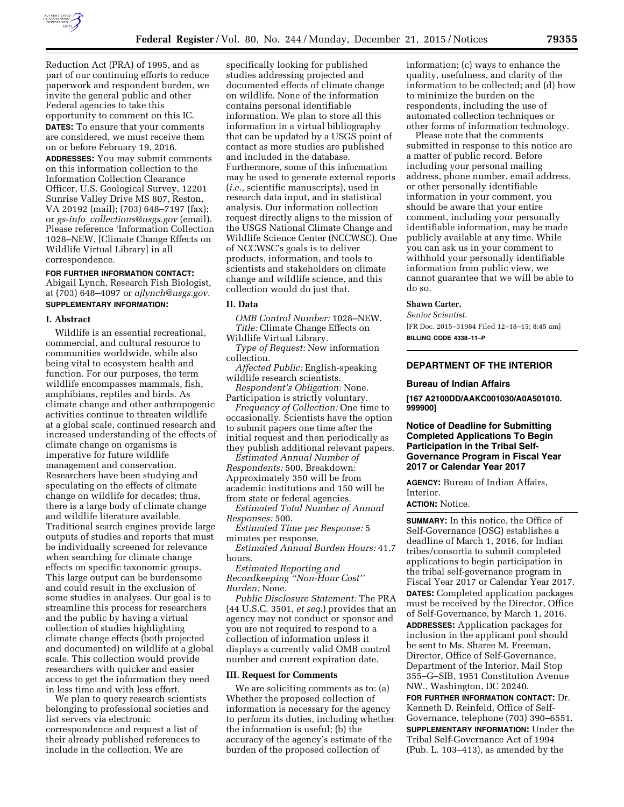

Reduction Act (PRA) of 1995, and as part of our continuing efforts to reduce paperwork and respondent burden, we invite the general public and other Federal agencies to take this opportunity to comment on this IC.

**DATES:** To ensure that your comments are considered, we must receive them on or before February 19, 2016.

**ADDRESSES:** You may submit comments on this information collection to the Information Collection Clearance Officer, U.S. Geological Survey, 12201 Sunrise Valley Drive MS 807, Reston, VA 20192 (mail); (703) 648–7197 (fax); or *gs-info*\_*[collections@usgs.gov](mailto:gs-info_collections@usgs.gov)* (email). Please reference 'Information Collection 1028–NEW, [Climate Change Effects on Wildlife Virtual Library] in all correspondence.

## **FOR FURTHER INFORMATION CONTACT:**

Abigail Lynch, Research Fish Biologist, at (703) 648–4097 or *[ajlynch@usgs.gov](mailto:ajlynch@usgs.gov)*. **SUPPLEMENTARY INFORMATION:** 

## **I. Abstract**

Wildlife is an essential recreational, commercial, and cultural resource to communities worldwide, while also being vital to ecosystem health and function. For our purposes, the term wildlife encompasses mammals, fish, amphibians, reptiles and birds. As climate change and other anthropogenic activities continue to threaten wildlife at a global scale, continued research and increased understanding of the effects of climate change on organisms is imperative for future wildlife management and conservation. Researchers have been studying and speculating on the effects of climate change on wildlife for decades; thus, there is a large body of climate change and wildlife literature available. Traditional search engines provide large outputs of studies and reports that must be individually screened for relevance when searching for climate change effects on specific taxonomic groups. This large output can be burdensome and could result in the exclusion of some studies in analyses. Our goal is to streamline this process for researchers and the public by having a virtual collection of studies highlighting climate change effects (both projected and documented) on wildlife at a global scale. This collection would provide researchers with quicker and easier access to get the information they need in less time and with less effort.

We plan to query research scientists belonging to professional societies and list servers via electronic correspondence and request a list of their already published references to include in the collection. We are

specifically looking for published studies addressing projected and documented effects of climate change on wildlife. None of the information contains personal identifiable information. We plan to store all this information in a virtual bibliography that can be updated by a USGS point of contact as more studies are published and included in the database. Furthermore, some of this information may be used to generate external reports (*i.e.,* scientific manuscripts), used in research data input, and in statistical analysis. Our information collection request directly aligns to the mission of the USGS National Climate Change and Wildlife Science Center (NCCWSC). One of NCCWSC's goals is to deliver products, information, and tools to scientists and stakeholders on climate change and wildlife science, and this collection would do just that.

## **II. Data**

*OMB Control Number:* 1028–NEW. *Title:* Climate Change Effects on Wildlife Virtual Library.

*Type of Request:* New information collection.

*Affected Public:* English-speaking wildlife research scientists.

*Respondent's Obligation:* None. Participation is strictly voluntary.

*Frequency of Collection:* One time to occasionally. Scientists have the option to submit papers one time after the initial request and then periodically as they publish additional relevant papers.

*Estimated Annual Number of Respondents:* 500. Breakdown: Approximately 350 will be from academic institutions and 150 will be from state or federal agencies.

*Estimated Total Number of Annual Responses:* 500.

*Estimated Time per Response:* 5 minutes per response.

*Estimated Annual Burden Hours:* 41.7 hours.

*Estimated Reporting and Recordkeeping ''Non-Hour Cost'' Burden:* None.

*Public Disclosure Statement:* The PRA (44 U.S.C. 3501, *et seq.*) provides that an agency may not conduct or sponsor and you are not required to respond to a collection of information unless it displays a currently valid OMB control number and current expiration date.

## **III. Request for Comments**

We are soliciting comments as to: (a) Whether the proposed collection of information is necessary for the agency to perform its duties, including whether the information is useful; (b) the accuracy of the agency's estimate of the burden of the proposed collection of

information; (c) ways to enhance the quality, usefulness, and clarity of the information to be collected; and (d) how to minimize the burden on the respondents, including the use of automated collection techniques or other forms of information technology.

Please note that the comments submitted in response to this notice are a matter of public record. Before including your personal mailing address, phone number, email address, or other personally identifiable information in your comment, you should be aware that your entire comment, including your personally identifiable information, may be made publicly available at any time. While you can ask us in your comment to withhold your personally identifiable information from public view, we cannot guarantee that we will be able to do so.

## **Shawn Carter,**

*Senior Scientist.* 

[FR Doc. 2015–31984 Filed 12–18–15; 8:45 am] **BILLING CODE 4338–11–P** 

## **DEPARTMENT OF THE INTERIOR**

#### **Bureau of Indian Affairs**

**[167 A2100DD/AAKC001030/A0A501010. 999900]** 

## **Notice of Deadline for Submitting Completed Applications To Begin Participation in the Tribal Self-Governance Program in Fiscal Year 2017 or Calendar Year 2017**

**AGENCY:** Bureau of Indian Affairs, Interior.

# **ACTION:** Notice.

**SUMMARY:** In this notice, the Office of Self-Governance (OSG) establishes a deadline of March 1, 2016, for Indian tribes/consortia to submit completed applications to begin participation in the tribal self-governance program in Fiscal Year 2017 or Calendar Year 2017. **DATES:** Completed application packages must be received by the Director, Office of Self-Governance, by March 1, 2016. **ADDRESSES:** Application packages for inclusion in the applicant pool should be sent to Ms. Sharee M. Freeman, Director, Office of Self-Governance,

Department of the Interior, Mail Stop 355–G–SIB, 1951 Constitution Avenue NW., Washington, DC 20240.

**FOR FURTHER INFORMATION CONTACT:** Dr. Kenneth D. Reinfeld, Office of Self-Governance, telephone (703) 390–6551. **SUPPLEMENTARY INFORMATION:** Under the Tribal Self-Governance Act of 1994 (Pub. L. 103–413), as amended by the